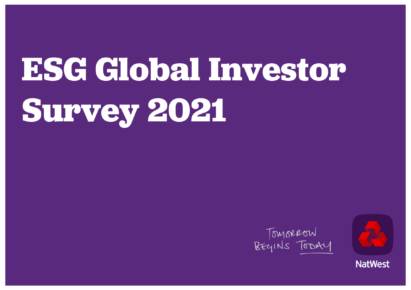# **ESG Global Investor Survey 2021**





**NatWest**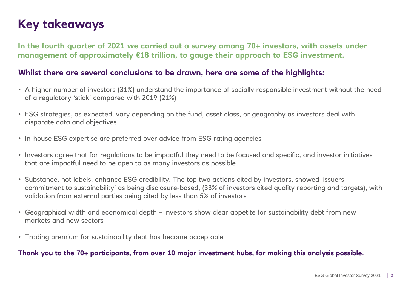# **Key takeaways**

**In the fourth quarter of 2021 we carried out a survey among 70+ investors, with assets under management of approximately €18 trillion, to gauge their approach to ESG investment.**

### **Whilst there are several conclusions to be drawn, here are some of the highlights:**

- A higher number of investors (31%) understand the importance of socially responsible investment without the need of a regulatory 'stick' compared with 2019 (21%)
- ESG strategies, as expected, vary depending on the fund, asset class, or geography as investors deal with disparate data and objectives
- In-house ESG expertise are preferred over advice from ESG rating agencies
- Investors agree that for regulations to be impactful they need to be focused and specific, and investor initiatives that are impactful need to be open to as many investors as possible
- Substance, not labels, enhance ESG credibility. The top two actions cited by investors, showed 'issuers commitment to sustainability' as being disclosure-based, (33% of investors cited quality reporting and targets), with validation from external parties being cited by less than 5% of investors
- Geographical width and economical depth investors show clear appetite for sustainability debt from new markets and new sectors
- Trading premium for sustainability debt has become acceptable

### **Thank you to the 70+ participants, from over 10 major investment hubs, for making this analysis possible.**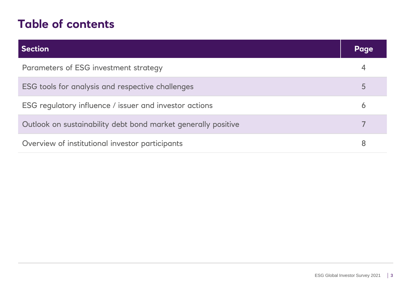# **Table of contents**

| <b>Section</b>                                                | Page     |
|---------------------------------------------------------------|----------|
| Parameters of ESG investment strategy                         | 4        |
| ESG tools for analysis and respective challenges              | 5        |
| ESG regulatory influence / issuer and investor actions        | $\sigma$ |
| Outlook on sustainability debt bond market generally positive |          |
| Overview of institutional investor participants               | 8        |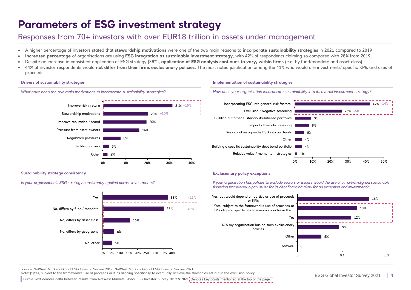# **Parameters of ESG investment strategy**

### Responses from 70+ investors with over EUR18 trillion in assets under management

- A higher percentage of investors stated that **stewardship motivations** were one of the two main reasons to **incorporate sustainability strategies** in 2021 compared to 2019
- **Increased percentage** of organisations are using **ESG integration as sustainable investment strategy**, with 42% of respondents claiming so compared with 28% from 2019
- Despite an increase in consistent application of ESG strategy (38%), **application of ESG analysis continues to vary, within firms** (e.g. by fund/mandate and asset class)
- 44% of investor respondents would **not differ from their firms exclusionary policies**. The most noted justification among the 41% who would are investments' specific KPIs and uses of proceeds

### **Drivers of sustainability strategies**



### **Sustainability strategy consistency**



*What have been the two main motivations to incorporate sustainability strategies?* 



### **Implementation of sustainability strategies**





### **Exclusionary policy exceptions**

*If your organisation has policies to exclude sectors or issuers would the use of a market-aligned sustainable financing framework by an issuer for its debt financing allow for an exception and investment?*



Source: NatWest Markets Global ESG Investor Survey 2019, NatWest Markets Global ESG Investor Survey 2021

Note: (\*)Yes, subject to the framework's use of proceeds or KPIs aligning specifically to eventually achieve the thresholds set out in the exclusion policy

Purple Text denotes delta between results from NatWest Markets Global ESG Investor Survey 2019 & 2021 Denotes key points mentioned at the top of the page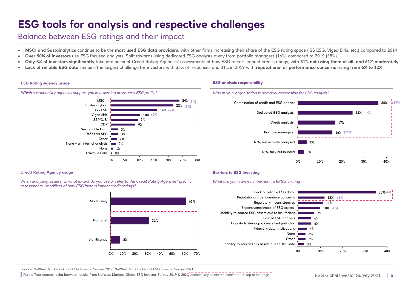# **ESG tools for analysis and respective challenges**

### Balance between ESG ratings and their impact

- **MSCI and Sustainalytics** continue to be the **most used ESG data providers**, with other firms increasing their share of the ESG rating space (ISS ESG, Vigeo Eiris, etc.) compared to 2019
- **Over 50% of investors** use ESG focused analysts. Shift towards using dedicated ESG analysts away from portfolio managers (16%) compared to 2019 (38%)
- **Only 8% of investors significantly** take into account Credit Rating Agencies' assessments of how ESG factors impact credit ratings, with **31% not using them at all, and 61% moderately**
- **Lack of reliable ESG data** remains the largest challenge for investors with 35% of responses and 31% in 2019 with **reputational or performance concerns rising from 6% to 12%**

### **ESG Rating Agency usage**



### **ESG analysis responsibility**



### **Credit Rating Agency usage**

*When analysing issuers, to what extent do you use or refer to the Credit Rating Agencies' specific assessments / modifiers of how ESG factors impact credit ratings?*



### **Barriers to ESG investing**

#### *What are your two main barriers to ESG investing*



Source: NatWest Markets Global ESG Investor Survey 2019, NatWest Markets Global ESG Investor Survey 2021

Purple Text denotes delta between results from NatWest Markets Global ESG Investor Survey 2019 & 2021 Denotes key points mentioned at the top of the page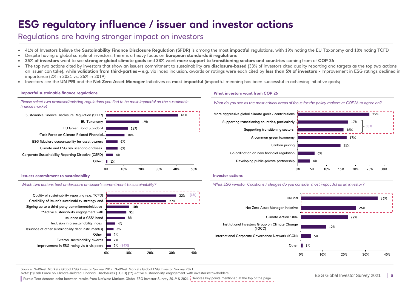# **ESG regulatory influence / issuer and investor actions**

### Regulations are having stronger impact on investors

- 41% of Investors believe the **Sustainability Finance Disclosure Regulation (SFDR)** is among the most **impactful** regulations, with 19% noting the EU Taxonomy and 10% noting TCFD
- Despite having a global sample of investors, there is a heavy focus on **European standards & regulations**
- **25% of investors** want to see **stronger global climate goals** and **33%** want **more support to transitioning sectors and countries** coming from of **COP 26**
- The top two actions cited by investors that show an issuers commitment to sustainability are **disclosure-based** (33% of investors cited quality reporting and targets as the top two actions an issuer can take), while **validation from third-parties** – e.g. via index inclusion, awards or ratings were each cited by **less than 5% of investors** - Improvement in ESG ratings declined in importance (2% in 2021 vs. 26% in 2019)
- Investors see the **UN PRI** and the **Net Zero Asset Manager** Initiatives as **most impactful** (impactful meaning has been successful in achieving initiative goals)

### **Impactful sustainable finance regulations**





#### **Issuers commitment to sustainability**

#### *Which two actions best underscore an issuer's commitment to sustainability?*



### **What investors want from COP 26**





#### **Investor actions**

#### *What ESG investor Coalitions / pledges do you consider most impactful as an investor?*



Source: NatWest Markets Global ESG Investor Survey 2019, NatWest Markets Global ESG Investor Survey 2021

Note: (\*)Task Force on Climate-Related Financial Disclosures (TCFD) (\*\*) Active sustainability engagement with investors/stakeholders

Purple Text denotes delta between results from NatWest Markets Global ESG Investor Survey 2019 & 2021 <sub>1</sub>Denotes key points mentioned at the top of the page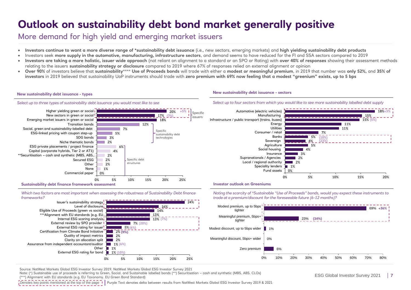# **Outlook on sustainability debt bond market generally positive**

### More demand for high yield and emerging market issuers

- **Investors continue to want a more diverse range of \*sustainability debt issuance** (i.e., new sectors, emerging markets) and **high yielding sustainability debt products**
- Investors seek **more supply in the automotive, manufacturing, infrastructure sectors**, and demand seems to have reduced for the FI and SSA sectors compared to 2019
- **Investors are taking a more holistic, issuer wide approach** (not reliant on alignment to a standard or an SPO or Rating) with **over 40% of responses** showing their assessment methods relating to the issuers **sustainability strategy or disclosure** compared to 2019 where 67% of responses relied on external alignment or opinion
- **Over 90%** of investors believe that **sustainability**\*\*\*\* **Use of Proceeds bonds** will trade with either a **modest or meaningful premium**, in 2019 that number was **only 52%,** and **35% of investors** in 2019 believed that sustainability UoP instruments should trade with **zero premium with 69% now feeling that a modest "greenium" exists, up to 5 bps**

#### **New sustainability debt issuance - types**





**Sustainability debt finance framework assessment** 

Assurance from independent accountant/auditor

Certification from Climate Bond Initiative External ESG rating for issuer<sup>1</sup> External review by SPO provider I Internal ESG scoring analysis

\*\*\*Alignment with EU standards (e.g. EU. Eligible Use of Proceeds (green vs social)

Issuer's sustainability strategy

*Which two factors are most important when assessing the robustness of Sustainability Debt finance frameworks?*

#### **New sustainability debt issuance - sectors**







*Noting the scarcity of \*Sustainable "Use of Proceeds" bonds, would you expect these instruments to trade at a premium/discount for the foreseeable future (6-12 months)?*



Source: NatWest Markets Global ESG Investor Survey 2019, NatWest Markets Global ESG Investor Survey 2021

Other 1%

1% **(10%)**

1% **(6%)** 2% 2% 2% **(9%)** 5% **(6%)**

Note: (\*) Sustainable use of proceeds is referring to Green, Social, and Sustainable labelled bonds (\*\*) Securitisation – cash and synthetic (MBS, ABS, CLOs) (\*\*\*) Alignment with EU standards (e.g. EU Taxonomy. EU Green Bond Standard)

7% **(20%)**

13% **(7%)** 13% 14% 16%

External ESG rating for bond

Clarity on allocation split Quality of impact metrics

Level of disclosure

Denotes key points mentioned at the top of the page I Purple Text denotes delta between results from NatWest Markets Global ESG Investor Survey 2019 & 2021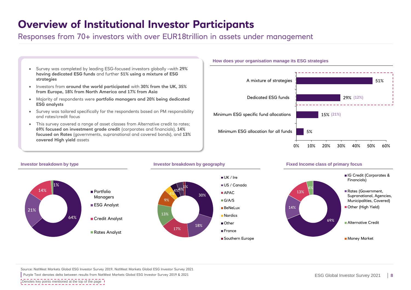# **Overview of Institutional Investor Participants**

Responses from 70+ investors with over EUR18trillion in assets under management

- Survey was completed by leading ESG-focused investors globally –with **29% having dedicated ESG funds** and further **51% using a mixture of ESG strategies**
- Investors from **around the world participated** with **30% from the UK, 35% from Europe, 18% from North America and 17% from Asia**
- Majority of respondents were **portfolio managers and 20% being dedicated ESG analysts**
- Survey was tailored specifically for the respondents based on PM responsibility and rates/credit focus
- This survey covered a range of asset classes from Alternative credit to rates; **69% focused on investment grade credit** (corporates and financials), **14% focused on Rates** (governments, supranational and covered bonds), and **13% covered High yield** assets



### **How does your organisation manage its ESG strategies**

**Investor breakdown by type** 64% 21% 14% 1% ■ Portfolio Managers ESG Analyst ■ Credit Analyst ■ Rates Analyst **Investor breakdown by geography Fixed Income class of primary focus** 69% 14% 13% 4% **IG Credit (Corporates &** Financials) Rates (Government, Supranational, Agencies, Municipalities, Covered) Other (High Yield) ■ Alternative Credit **Money Market** 30% 18% 17% 13% 9% 4%4%1 UK / Ire US / Canada  $\blacksquare$  APAC. G/A/S **BeNeLux Nordics** Other France ■ Southern Europe

Source: NatWest Markets Global ESG Investor Survey 2019, NatWest Markets Global ESG Investor Survey 2021

Purple Text denotes delta between results from NatWest Markets Global ESG Investor Survey 2019 & 2021